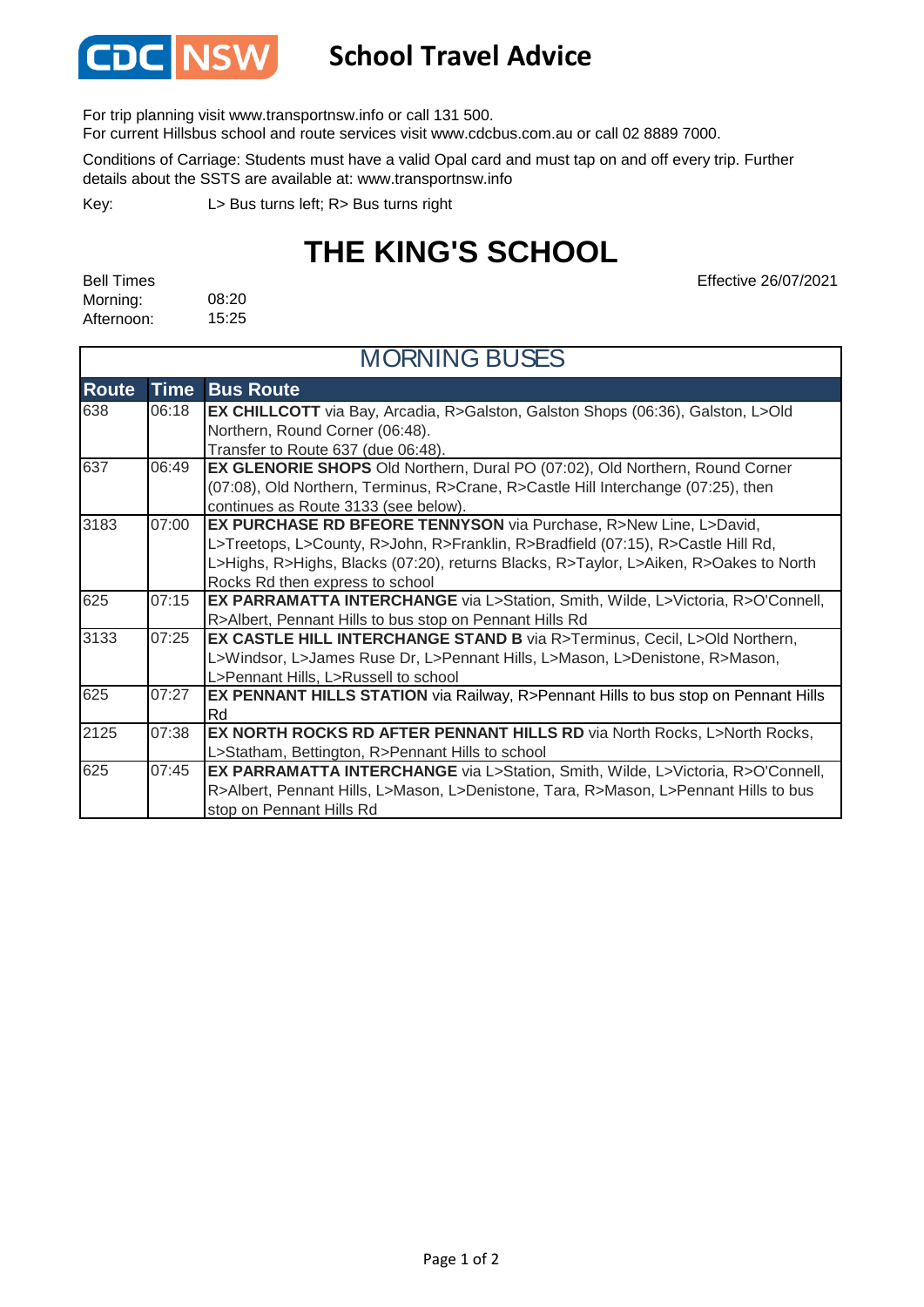

## **School Travel Advice**

For trip planning visit www.transportnsw.info or call 131 500.

For current Hillsbus school and route services visit www.cdcbus.com.au or call 02 8889 7000.

Conditions of Carriage: Students must have a valid Opal card and must tap on and off every trip. Further details about the SSTS are available at: www.transportnsw.info

L> Bus turns left; R> Bus turns right Key:

## **THE KING'S SCHOOL**

08:20 15:25 Bell Times Morning: Afternoon:

Effective 26/07/2021

| <b>MORNING BUSES</b> |             |                                                                                           |  |
|----------------------|-------------|-------------------------------------------------------------------------------------------|--|
| <b>Route</b>         | <b>Time</b> | <b>Bus Route</b>                                                                          |  |
| 638                  | 06:18       | <b>EX CHILLCOTT</b> via Bay, Arcadia, R>Galston, Galston Shops (06:36), Galston, L>Old    |  |
|                      |             | Northern, Round Corner (06:48).                                                           |  |
|                      |             | Transfer to Route 637 (due 06:48).                                                        |  |
| 637                  | 06:49       | EX GLENORIE SHOPS Old Northern, Dural PO (07:02), Old Northern, Round Corner              |  |
|                      |             | (07:08), Old Northern, Terminus, R>Crane, R>Castle Hill Interchange (07:25), then         |  |
|                      |             | continues as Route 3133 (see below).                                                      |  |
| 3183                 | 07:00       | EX PURCHASE RD BFEORE TENNYSON via Purchase, R>New Line, L>David,                         |  |
|                      |             | L>Treetops, L>County, R>John, R>Franklin, R>Bradfield (07:15), R>Castle Hill Rd,          |  |
|                      |             | L>Highs, R>Highs, Blacks (07:20), returns Blacks, R>Taylor, L>Aiken, R>Oakes to North     |  |
|                      |             | Rocks Rd then express to school                                                           |  |
| 625                  | 07:15       | <b>EX PARRAMATTA INTERCHANGE</b> via L>Station, Smith, Wilde, L>Victoria, R>O'Connell,    |  |
|                      |             | R>Albert, Pennant Hills to bus stop on Pennant Hills Rd                                   |  |
| 3133                 | 07:25       | EX CASTLE HILL INTERCHANGE STAND B via R>Terminus, Cecil, L>Old Northern,                 |  |
|                      |             | L>Windsor, L>James Ruse Dr, L>Pennant Hills, L>Mason, L>Denistone, R>Mason,               |  |
|                      |             | L>Pennant Hills, L>Russell to school                                                      |  |
| 625                  | 07:27       | <b>EX PENNANT HILLS STATION</b> via Railway, R>Pennant Hills to bus stop on Pennant Hills |  |
|                      |             | Rd                                                                                        |  |
| 2125                 | 07:38       | <b>EX NORTH ROCKS RD AFTER PENNANT HILLS RD via North Rocks, L&gt;North Rocks,</b>        |  |
|                      |             | L>Statham, Bettington, R>Pennant Hills to school                                          |  |
| 625                  | 07:45       | <b>EX PARRAMATTA INTERCHANGE</b> via L>Station, Smith, Wilde, L>Victoria, R>O'Connell,    |  |
|                      |             | R>Albert, Pennant Hills, L>Mason, L>Denistone, Tara, R>Mason, L>Pennant Hills to bus      |  |
|                      |             | stop on Pennant Hills Rd                                                                  |  |

## Page 1 of 2